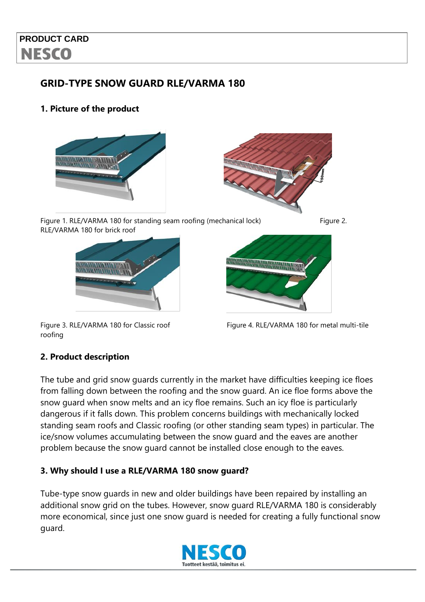# **PRODUCT CARD NESCO**

### **GRID-TYPE SNOW GUARD RLE/VARMA 180**

### **1. Picture of the product**





Figure 1. RLE/VARMA 180 for standing seam roofing (mechanical lock) Figure 2. RLE/VARMA 180 for brick roof





roofing



#### **2. Product description**

The tube and grid snow guards currently in the market have difficulties keeping ice floes from falling down between the roofing and the snow guard. An ice floe forms above the snow guard when snow melts and an icy floe remains. Such an icy floe is particularly dangerous if it falls down. This problem concerns buildings with mechanically locked standing seam roofs and Classic roofing (or other standing seam types) in particular. The ice/snow volumes accumulating between the snow guard and the eaves are another problem because the snow guard cannot be installed close enough to the eaves.

#### **3. Why should I use a RLE/VARMA 180 snow guard?**

Tube-type snow guards in new and older buildings have been repaired by installing an additional snow grid on the tubes. However, snow guard RLE/VARMA 180 is considerably more economical, since just one snow guard is needed for creating a fully functional snow guard.

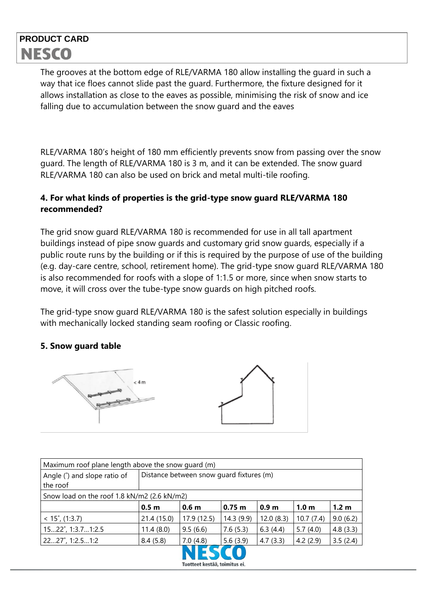# **PRODUCT CARD NESCO**

The grooves at the bottom edge of RLE/VARMA 180 allow installing the guard in such a way that ice floes cannot slide past the guard. Furthermore, the fixture designed for it allows installation as close to the eaves as possible, minimising the risk of snow and ice falling due to accumulation between the snow guard and the eaves

RLE/VARMA 180's height of 180 mm efficiently prevents snow from passing over the snow guard. The length of RLE/VARMA 180 is 3 m, and it can be extended. The snow guard RLE/VARMA 180 can also be used on brick and metal multi-tile roofing.

### **4. For what kinds of properties is the grid-type snow guard RLE/VARMA 180 recommended?**

The grid snow guard RLE/VARMA 180 is recommended for use in all tall apartment buildings instead of pipe snow guards and customary grid snow guards, especially if a public route runs by the building or if this is required by the purpose of use of the building (e.g. day-care centre, school, retirement home). The grid-type snow guard RLE/VARMA 180 is also recommended for roofs with a slope of 1:1.5 or more, since when snow starts to move, it will cross over the tube-type snow guards on high pitched roofs.

The grid-type snow guard RLE/VARMA 180 is the safest solution especially in buildings with mechanically locked standing seam roofing or Classic roofing.

#### **5. Snow guard table**



| Maximum roof plane length above the snow quard (m) |                                          |                  |           |                  |                  |                  |  |  |  |  |
|----------------------------------------------------|------------------------------------------|------------------|-----------|------------------|------------------|------------------|--|--|--|--|
| Angle (°) and slope ratio of<br>the roof           | Distance between snow quard fixtures (m) |                  |           |                  |                  |                  |  |  |  |  |
| Snow load on the roof 1.8 kN/m2 (2.6 kN/m2)        |                                          |                  |           |                  |                  |                  |  |  |  |  |
|                                                    | 0.5 <sub>m</sub>                         | 0.6 <sub>m</sub> | 0.75 m    | 0.9 <sub>m</sub> | 1.0 <sub>m</sub> | 1.2 <sub>m</sub> |  |  |  |  |
| $<$ 15 $^{\circ}$ , (1:3.7)                        | 21.4 (15.0)                              | 17.9 (12.5)      | 14.3(9.9) | 12.0(8.3)        | 10.7(7.4)        | 9.0(6.2)         |  |  |  |  |
| 1522°, 1:3.71:2.5                                  | 11.4(8.0)                                | 9.5(6.6)         | 7.6(5.3)  | 6.3(4.4)         | 5.7(4.0)         | 4.8(3.3)         |  |  |  |  |
| 2227°, 1:2.51:2                                    | 8.4(5.8)                                 | 7.0(4.8)         | 5.6(3.9)  | 4.7(3.3)         | 4.2(2.9)         | 3.5(2.4)         |  |  |  |  |
|                                                    |                                          |                  |           |                  |                  |                  |  |  |  |  |

Tuotteet kestää, toimitus ei.